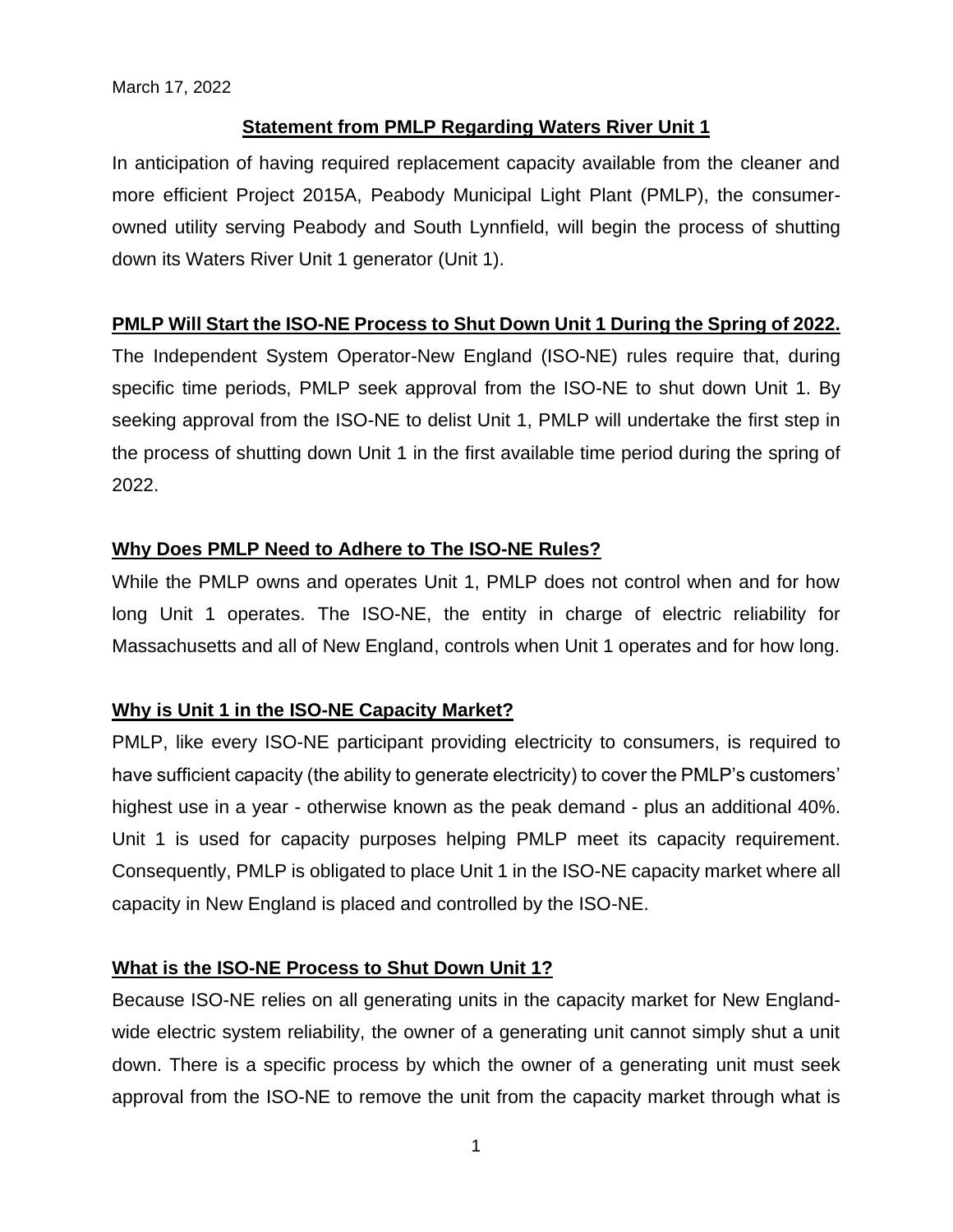# **Statement from PMLP Regarding Waters River Unit 1**

In anticipation of having required replacement capacity available from the cleaner and more efficient Project 2015A, Peabody Municipal Light Plant (PMLP), the consumerowned utility serving Peabody and South Lynnfield, will begin the process of shutting down its Waters River Unit 1 generator (Unit 1).

# **PMLP Will Start the ISO-NE Process to Shut Down Unit 1 During the Spring of 2022.**

The Independent System Operator-New England (ISO-NE) rules require that, during specific time periods, PMLP seek approval from the ISO-NE to shut down Unit 1. By seeking approval from the ISO-NE to delist Unit 1, PMLP will undertake the first step in the process of shutting down Unit 1 in the first available time period during the spring of 2022.

# **Why Does PMLP Need to Adhere to The ISO-NE Rules?**

While the PMLP owns and operates Unit 1, PMLP does not control when and for how long Unit 1 operates. The ISO-NE, the entity in charge of electric reliability for Massachusetts and all of New England, controls when Unit 1 operates and for how long.

## **Why is Unit 1 in the ISO-NE Capacity Market?**

PMLP, like every ISO-NE participant providing electricity to consumers, is required to have sufficient capacity (the ability to generate electricity) to cover the PMLP's customers' highest use in a year - otherwise known as the peak demand - plus an additional 40%. Unit 1 is used for capacity purposes helping PMLP meet its capacity requirement. Consequently, PMLP is obligated to place Unit 1 in the ISO-NE capacity market where all capacity in New England is placed and controlled by the ISO-NE.

## **What is the ISO-NE Process to Shut Down Unit 1?**

Because ISO-NE relies on all generating units in the capacity market for New Englandwide electric system reliability, the owner of a generating unit cannot simply shut a unit down. There is a specific process by which the owner of a generating unit must seek approval from the ISO-NE to remove the unit from the capacity market through what is